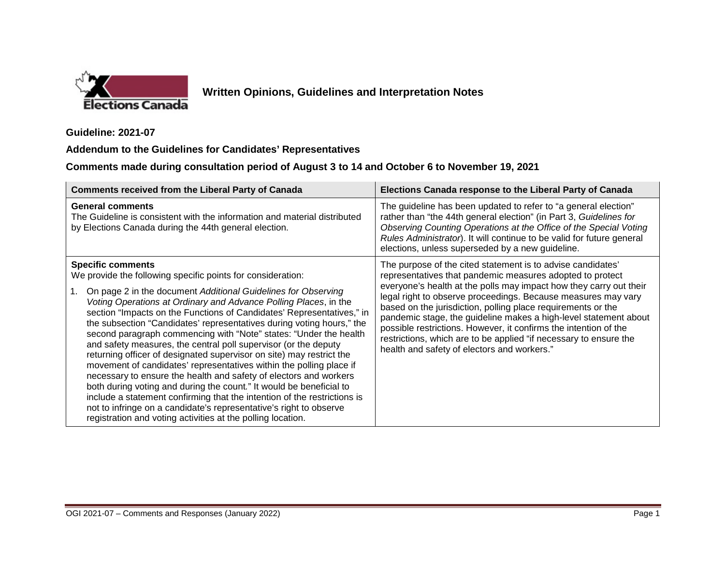

## **Written Opinions, Guidelines and Interpretation Notes**

**Guideline: 2021-07** 

## **Addendum to the Guidelines for Candidates' Representatives**

**Comments made during consultation period of August 3 to 14 and October 6 to November 19, 2021** 

| <b>Comments received from the Liberal Party of Canada</b>                                                                                                                                                                                                                                                                                                                                                                                                                                                                                                                                                                                                                                                                                                                                                                                                                                                                                                                                                                                | Elections Canada response to the Liberal Party of Canada                                                                                                                                                                                                                                                                                                                                                                                                                                                                                                                                    |
|------------------------------------------------------------------------------------------------------------------------------------------------------------------------------------------------------------------------------------------------------------------------------------------------------------------------------------------------------------------------------------------------------------------------------------------------------------------------------------------------------------------------------------------------------------------------------------------------------------------------------------------------------------------------------------------------------------------------------------------------------------------------------------------------------------------------------------------------------------------------------------------------------------------------------------------------------------------------------------------------------------------------------------------|---------------------------------------------------------------------------------------------------------------------------------------------------------------------------------------------------------------------------------------------------------------------------------------------------------------------------------------------------------------------------------------------------------------------------------------------------------------------------------------------------------------------------------------------------------------------------------------------|
| <b>General comments</b><br>The Guideline is consistent with the information and material distributed<br>by Elections Canada during the 44th general election.                                                                                                                                                                                                                                                                                                                                                                                                                                                                                                                                                                                                                                                                                                                                                                                                                                                                            | The guideline has been updated to refer to "a general election"<br>rather than "the 44th general election" (in Part 3, Guidelines for<br>Observing Counting Operations at the Office of the Special Voting<br>Rules Administrator). It will continue to be valid for future general<br>elections, unless superseded by a new guideline.                                                                                                                                                                                                                                                     |
| <b>Specific comments</b><br>We provide the following specific points for consideration:<br>On page 2 in the document Additional Guidelines for Observing<br>1.<br>Voting Operations at Ordinary and Advance Polling Places, in the<br>section "Impacts on the Functions of Candidates' Representatives," in<br>the subsection "Candidates' representatives during voting hours," the<br>second paragraph commencing with "Note" states: "Under the health<br>and safety measures, the central poll supervisor (or the deputy<br>returning officer of designated supervisor on site) may restrict the<br>movement of candidates' representatives within the polling place if<br>necessary to ensure the health and safety of electors and workers<br>both during voting and during the count." It would be beneficial to<br>include a statement confirming that the intention of the restrictions is<br>not to infringe on a candidate's representative's right to observe<br>registration and voting activities at the polling location. | The purpose of the cited statement is to advise candidates'<br>representatives that pandemic measures adopted to protect<br>everyone's health at the polls may impact how they carry out their<br>legal right to observe proceedings. Because measures may vary<br>based on the jurisdiction, polling place requirements or the<br>pandemic stage, the guideline makes a high-level statement about<br>possible restrictions. However, it confirms the intention of the<br>restrictions, which are to be applied "if necessary to ensure the<br>health and safety of electors and workers." |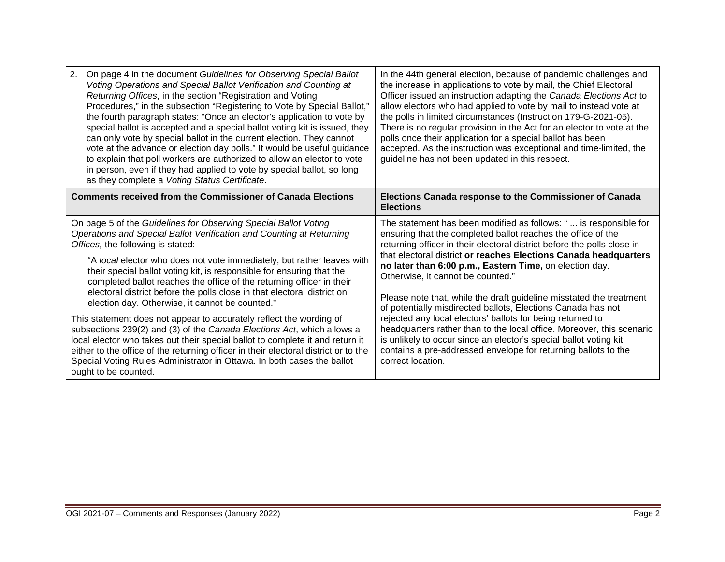| 2.<br>On page 4 in the document Guidelines for Observing Special Ballot<br>Voting Operations and Special Ballot Verification and Counting at<br>Returning Offices, in the section "Registration and Voting<br>Procedures," in the subsection "Registering to Vote by Special Ballot,"<br>the fourth paragraph states: "Once an elector's application to vote by<br>special ballot is accepted and a special ballot voting kit is issued, they<br>can only vote by special ballot in the current election. They cannot<br>vote at the advance or election day polls." It would be useful guidance<br>to explain that poll workers are authorized to allow an elector to vote<br>in person, even if they had applied to vote by special ballot, so long<br>as they complete a Voting Status Certificate.                                                                                                                                                            | In the 44th general election, because of pandemic challenges and<br>the increase in applications to vote by mail, the Chief Electoral<br>Officer issued an instruction adapting the Canada Elections Act to<br>allow electors who had applied to vote by mail to instead vote at<br>the polls in limited circumstances (Instruction 179-G-2021-05).<br>There is no regular provision in the Act for an elector to vote at the<br>polls once their application for a special ballot has been<br>accepted. As the instruction was exceptional and time-limited, the<br>guideline has not been updated in this respect.                                                                                                                                                                                                      |
|-------------------------------------------------------------------------------------------------------------------------------------------------------------------------------------------------------------------------------------------------------------------------------------------------------------------------------------------------------------------------------------------------------------------------------------------------------------------------------------------------------------------------------------------------------------------------------------------------------------------------------------------------------------------------------------------------------------------------------------------------------------------------------------------------------------------------------------------------------------------------------------------------------------------------------------------------------------------|---------------------------------------------------------------------------------------------------------------------------------------------------------------------------------------------------------------------------------------------------------------------------------------------------------------------------------------------------------------------------------------------------------------------------------------------------------------------------------------------------------------------------------------------------------------------------------------------------------------------------------------------------------------------------------------------------------------------------------------------------------------------------------------------------------------------------|
| <b>Comments received from the Commissioner of Canada Elections</b>                                                                                                                                                                                                                                                                                                                                                                                                                                                                                                                                                                                                                                                                                                                                                                                                                                                                                                | Elections Canada response to the Commissioner of Canada<br><b>Elections</b>                                                                                                                                                                                                                                                                                                                                                                                                                                                                                                                                                                                                                                                                                                                                               |
| On page 5 of the Guidelines for Observing Special Ballot Voting<br>Operations and Special Ballot Verification and Counting at Returning<br>Offices, the following is stated:<br>"A local elector who does not vote immediately, but rather leaves with<br>their special ballot voting kit, is responsible for ensuring that the<br>completed ballot reaches the office of the returning officer in their<br>electoral district before the polls close in that electoral district on<br>election day. Otherwise, it cannot be counted."<br>This statement does not appear to accurately reflect the wording of<br>subsections 239(2) and (3) of the Canada Elections Act, which allows a<br>local elector who takes out their special ballot to complete it and return it<br>either to the office of the returning officer in their electoral district or to the<br>Special Voting Rules Administrator in Ottawa. In both cases the ballot<br>ought to be counted. | The statement has been modified as follows: " is responsible for<br>ensuring that the completed ballot reaches the office of the<br>returning officer in their electoral district before the polls close in<br>that electoral district or reaches Elections Canada headquarters<br>no later than 6:00 p.m., Eastern Time, on election day.<br>Otherwise, it cannot be counted."<br>Please note that, while the draft guideline misstated the treatment<br>of potentially misdirected ballots, Elections Canada has not<br>rejected any local electors' ballots for being returned to<br>headquarters rather than to the local office. Moreover, this scenario<br>is unlikely to occur since an elector's special ballot voting kit<br>contains a pre-addressed envelope for returning ballots to the<br>correct location. |